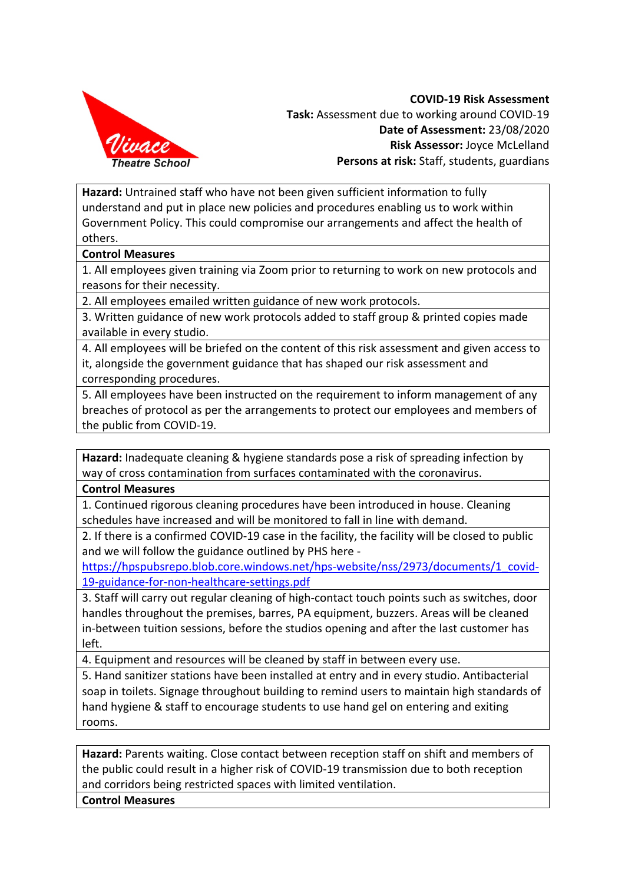

**COVID-19 Risk Assessment Task:** Assessment due to working around COVID-19 **Date of Assessment:** 23/08/2020 **Risk Assessor:** Joyce McLelland **Persons at risk:** Staff, students, guardians

**Hazard:** Untrained staff who have not been given sufficient information to fully understand and put in place new policies and procedures enabling us to work within Government Policy. This could compromise our arrangements and affect the health of others.

## **Control Measures**

1. All employees given training via Zoom prior to returning to work on new protocols and reasons for their necessity.

2. All employees emailed written guidance of new work protocols.

3. Written guidance of new work protocols added to staff group & printed copies made available in every studio.

4. All employees will be briefed on the content of this risk assessment and given access to it, alongside the government guidance that has shaped our risk assessment and corresponding procedures.

5. All employees have been instructed on the requirement to inform management of any breaches of protocol as per the arrangements to protect our employees and members of the public from COVID-19.

**Hazard:** Inadequate cleaning & hygiene standards pose a risk of spreading infection by way of cross contamination from surfaces contaminated with the coronavirus.

## **Control Measures**

1. Continued rigorous cleaning procedures have been introduced in house. Cleaning schedules have increased and will be monitored to fall in line with demand.

2. If there is a confirmed COVID-19 case in the facility, the facility will be closed to public and we will follow the guidance outlined by PHS here -

https://hpspubsrepo.blob.core.windows.net/hps-website/nss/2973/documents/1\_covid-19-guidance-for-non-healthcare-settings.pdf

3. Staff will carry out regular cleaning of high-contact touch points such as switches, door handles throughout the premises, barres, PA equipment, buzzers. Areas will be cleaned in-between tuition sessions, before the studios opening and after the last customer has left.

4. Equipment and resources will be cleaned by staff in between every use.

5. Hand sanitizer stations have been installed at entry and in every studio. Antibacterial soap in toilets. Signage throughout building to remind users to maintain high standards of hand hygiene & staff to encourage students to use hand gel on entering and exiting rooms.

**Hazard:** Parents waiting. Close contact between reception staff on shift and members of the public could result in a higher risk of COVID-19 transmission due to both reception and corridors being restricted spaces with limited ventilation.

**Control Measures**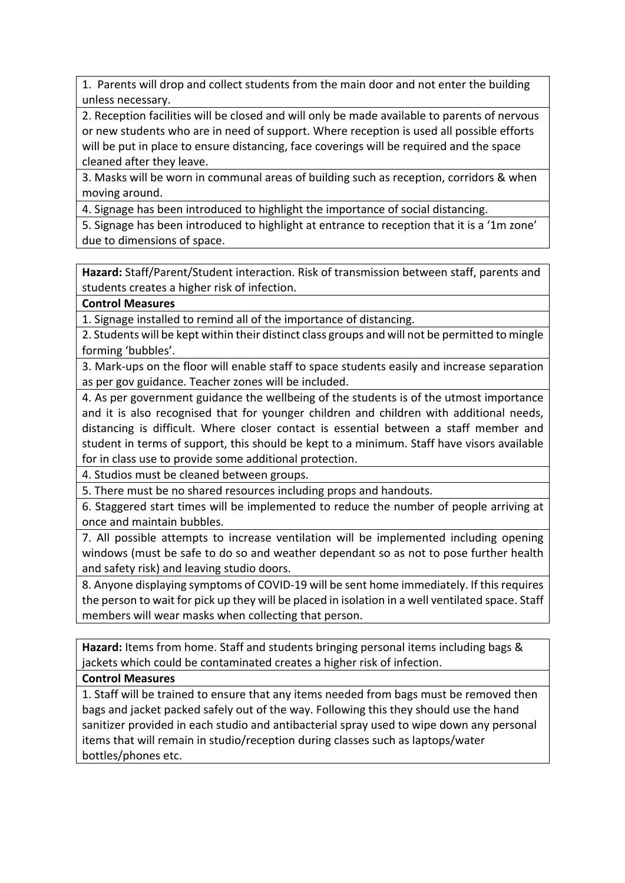1. Parents will drop and collect students from the main door and not enter the building unless necessary.

2. Reception facilities will be closed and will only be made available to parents of nervous or new students who are in need of support. Where reception is used all possible efforts will be put in place to ensure distancing, face coverings will be required and the space cleaned after they leave.

3. Masks will be worn in communal areas of building such as reception, corridors & when moving around.

4. Signage has been introduced to highlight the importance of social distancing.

5. Signage has been introduced to highlight at entrance to reception that it is a '1m zone' due to dimensions of space.

**Hazard:** Staff/Parent/Student interaction. Risk of transmission between staff, parents and students creates a higher risk of infection.

## **Control Measures**

1. Signage installed to remind all of the importance of distancing.

2. Students will be kept within their distinct class groups and will not be permitted to mingle forming 'bubbles'.

3. Mark-ups on the floor will enable staff to space students easily and increase separation as per gov guidance. Teacher zones will be included.

4. As per government guidance the wellbeing of the students is of the utmost importance and it is also recognised that for younger children and children with additional needs, distancing is difficult. Where closer contact is essential between a staff member and student in terms of support, this should be kept to a minimum. Staff have visors available for in class use to provide some additional protection.

4. Studios must be cleaned between groups.

5. There must be no shared resources including props and handouts.

6. Staggered start times will be implemented to reduce the number of people arriving at once and maintain bubbles.

7. All possible attempts to increase ventilation will be implemented including opening windows (must be safe to do so and weather dependant so as not to pose further health and safety risk) and leaving studio doors.

8. Anyone displaying symptoms of COVID-19 will be sent home immediately. If this requires the person to wait for pick up they will be placed in isolation in a well ventilated space. Staff members will wear masks when collecting that person.

**Hazard:** Items from home. Staff and students bringing personal items including bags & jackets which could be contaminated creates a higher risk of infection.

## **Control Measures**

1. Staff will be trained to ensure that any items needed from bags must be removed then bags and jacket packed safely out of the way. Following this they should use the hand sanitizer provided in each studio and antibacterial spray used to wipe down any personal items that will remain in studio/reception during classes such as laptops/water bottles/phones etc.